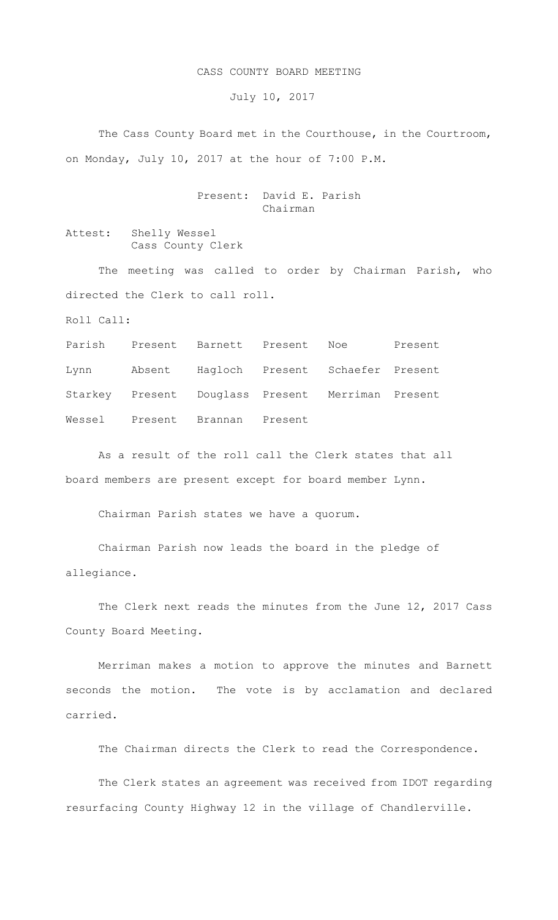## CASS COUNTY BOARD MEETING

July 10, 2017

The Cass County Board met in the Courthouse, in the Courtroom, on Monday, July 10, 2017 at the hour of 7:00 P.M.

> Present: David E. Parish Chairman

Attest: Shelly Wessel Cass County Clerk

The meeting was called to order by Chairman Parish, who directed the Clerk to call roll.

Roll Call:

Parish Present Barnett Present Noe Present Lynn Absent Hagloch Present Schaefer Present Starkey Present Douglass Present Merriman Present Wessel Present Brannan Present

As a result of the roll call the Clerk states that all board members are present except for board member Lynn.

Chairman Parish states we have a quorum.

Chairman Parish now leads the board in the pledge of allegiance.

The Clerk next reads the minutes from the June 12, 2017 Cass County Board Meeting.

Merriman makes a motion to approve the minutes and Barnett seconds the motion. The vote is by acclamation and declared carried.

The Chairman directs the Clerk to read the Correspondence.

The Clerk states an agreement was received from IDOT regarding resurfacing County Highway 12 in the village of Chandlerville.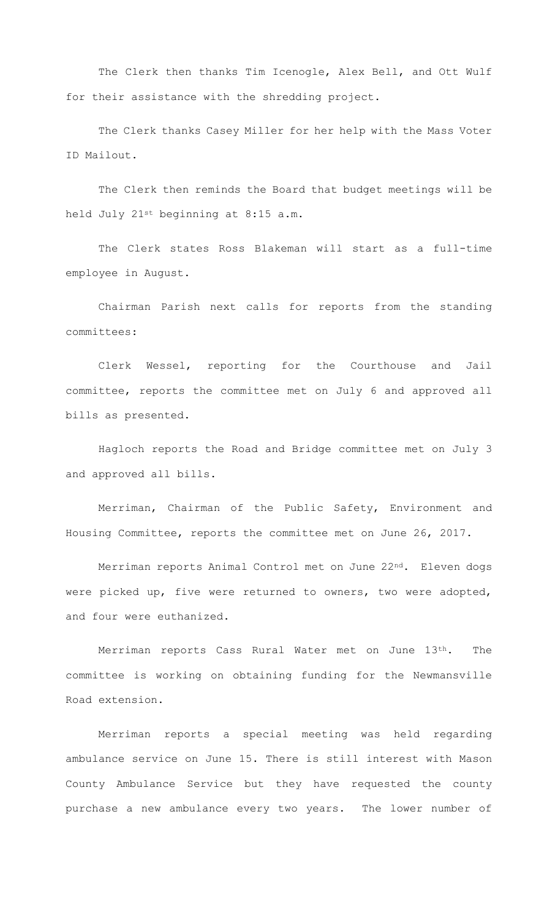The Clerk then thanks Tim Icenogle, Alex Bell, and Ott Wulf for their assistance with the shredding project.

The Clerk thanks Casey Miller for her help with the Mass Voter ID Mailout.

The Clerk then reminds the Board that budget meetings will be held July 21st beginning at 8:15 a.m.

The Clerk states Ross Blakeman will start as a full-time employee in August.

Chairman Parish next calls for reports from the standing committees:

Clerk Wessel, reporting for the Courthouse and Jail committee, reports the committee met on July 6 and approved all bills as presented.

Hagloch reports the Road and Bridge committee met on July 3 and approved all bills.

Merriman, Chairman of the Public Safety, Environment and Housing Committee, reports the committee met on June 26, 2017.

Merriman reports Animal Control met on June 22nd. Eleven dogs were picked up, five were returned to owners, two were adopted, and four were euthanized.

Merriman reports Cass Rural Water met on June 13th. The committee is working on obtaining funding for the Newmansville Road extension.

Merriman reports a special meeting was held regarding ambulance service on June 15. There is still interest with Mason County Ambulance Service but they have requested the county purchase a new ambulance every two years. The lower number of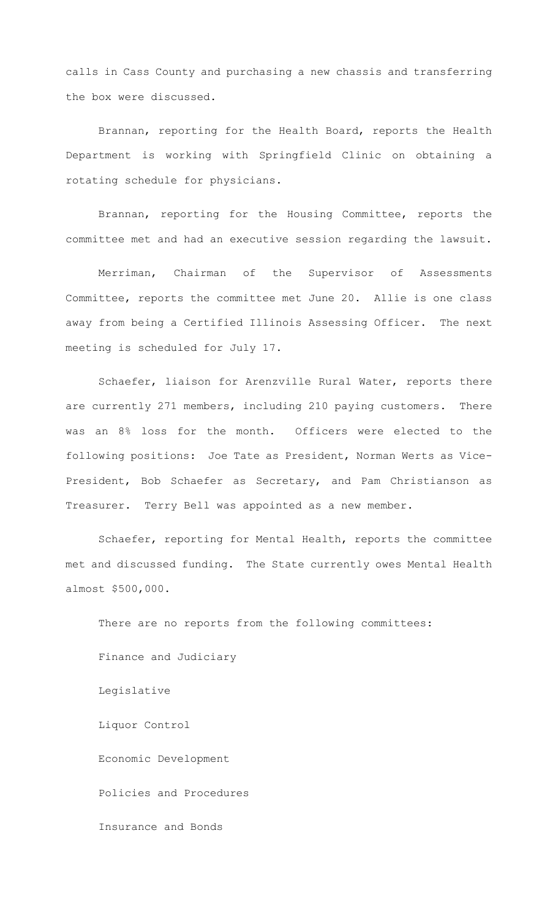calls in Cass County and purchasing a new chassis and transferring the box were discussed.

Brannan, reporting for the Health Board, reports the Health Department is working with Springfield Clinic on obtaining a rotating schedule for physicians.

Brannan, reporting for the Housing Committee, reports the committee met and had an executive session regarding the lawsuit.

Merriman, Chairman of the Supervisor of Assessments Committee, reports the committee met June 20. Allie is one class away from being a Certified Illinois Assessing Officer. The next meeting is scheduled for July 17.

Schaefer, liaison for Arenzville Rural Water, reports there are currently 271 members, including 210 paying customers. There was an 8% loss for the month. Officers were elected to the following positions: Joe Tate as President, Norman Werts as Vice-President, Bob Schaefer as Secretary, and Pam Christianson as Treasurer. Terry Bell was appointed as a new member.

Schaefer, reporting for Mental Health, reports the committee met and discussed funding. The State currently owes Mental Health almost \$500,000.

There are no reports from the following committees: Finance and Judiciary Legislative Liquor Control Economic Development Policies and Procedures Insurance and Bonds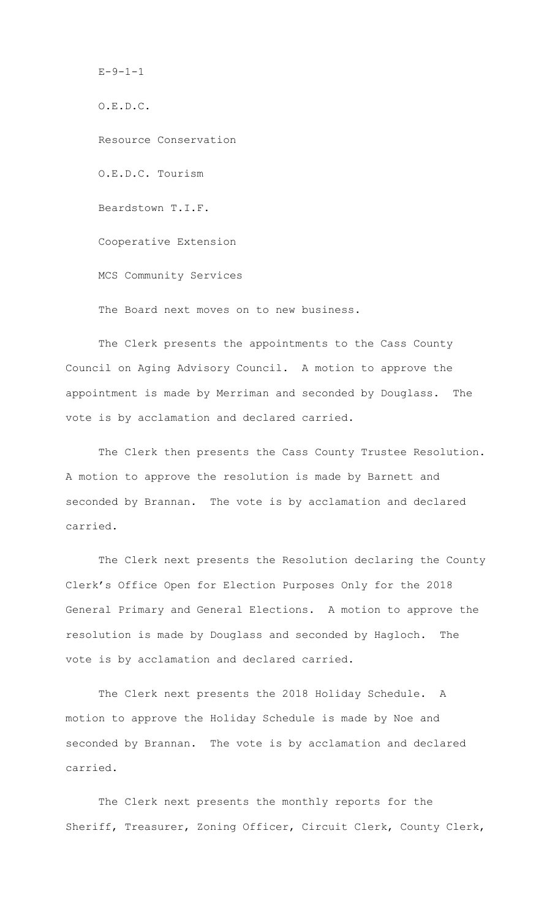O.E.D.C. Resource Conservation O.E.D.C. Tourism Beardstown T.I.F. Cooperative Extension MCS Community Services The Board next moves on to new business.

 $E - 9 - 1 - 1$ 

The Clerk presents the appointments to the Cass County Council on Aging Advisory Council. A motion to approve the appointment is made by Merriman and seconded by Douglass. The vote is by acclamation and declared carried.

The Clerk then presents the Cass County Trustee Resolution. A motion to approve the resolution is made by Barnett and seconded by Brannan. The vote is by acclamation and declared carried.

The Clerk next presents the Resolution declaring the County Clerk's Office Open for Election Purposes Only for the 2018 General Primary and General Elections. A motion to approve the resolution is made by Douglass and seconded by Hagloch. The vote is by acclamation and declared carried.

The Clerk next presents the 2018 Holiday Schedule. A motion to approve the Holiday Schedule is made by Noe and seconded by Brannan. The vote is by acclamation and declared carried.

The Clerk next presents the monthly reports for the Sheriff, Treasurer, Zoning Officer, Circuit Clerk, County Clerk,